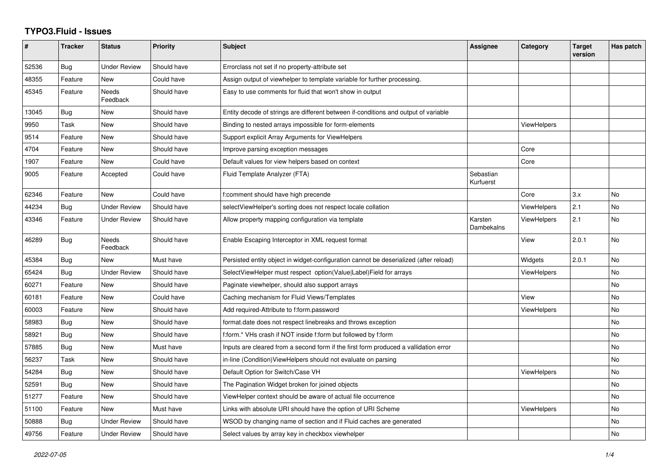## **TYPO3.Fluid - Issues**

| #     | <b>Tracker</b> | <b>Status</b>       | <b>Priority</b> | <b>Subject</b>                                                                        | Assignee               | Category           | <b>Target</b><br>version | Has patch |
|-------|----------------|---------------------|-----------------|---------------------------------------------------------------------------------------|------------------------|--------------------|--------------------------|-----------|
| 52536 | Bug            | <b>Under Review</b> | Should have     | Errorclass not set if no property-attribute set                                       |                        |                    |                          |           |
| 48355 | Feature        | New                 | Could have      | Assign output of viewhelper to template variable for further processing.              |                        |                    |                          |           |
| 45345 | Feature        | Needs<br>Feedback   | Should have     | Easy to use comments for fluid that won't show in output                              |                        |                    |                          |           |
| 13045 | Bug            | New                 | Should have     | Entity decode of strings are different between if-conditions and output of variable   |                        |                    |                          |           |
| 9950  | Task           | New                 | Should have     | Binding to nested arrays impossible for form-elements                                 |                        | <b>ViewHelpers</b> |                          |           |
| 9514  | Feature        | <b>New</b>          | Should have     | Support explicit Array Arguments for ViewHelpers                                      |                        |                    |                          |           |
| 4704  | Feature        | New                 | Should have     | Improve parsing exception messages                                                    |                        | Core               |                          |           |
| 1907  | Feature        | New                 | Could have      | Default values for view helpers based on context                                      |                        | Core               |                          |           |
| 9005  | Feature        | Accepted            | Could have      | Fluid Template Analyzer (FTA)                                                         | Sebastian<br>Kurfuerst |                    |                          |           |
| 62346 | Feature        | <b>New</b>          | Could have      | f:comment should have high precende                                                   |                        | Core               | 3.x                      | No        |
| 44234 | Bug            | <b>Under Review</b> | Should have     | selectViewHelper's sorting does not respect locale collation                          |                        | <b>ViewHelpers</b> | 2.1                      | No        |
| 43346 | Feature        | <b>Under Review</b> | Should have     | Allow property mapping configuration via template                                     | Karsten<br>Dambekalns  | <b>ViewHelpers</b> | 2.1                      | No        |
| 46289 | Bug            | Needs<br>Feedback   | Should have     | Enable Escaping Interceptor in XML request format                                     |                        | View               | 2.0.1                    | No        |
| 45384 | Bug            | <b>New</b>          | Must have       | Persisted entity object in widget-configuration cannot be deserialized (after reload) |                        | Widgets            | 2.0.1                    | <b>No</b> |
| 65424 | Bug            | <b>Under Review</b> | Should have     | SelectViewHelper must respect option(Value Label)Field for arrays                     |                        | <b>ViewHelpers</b> |                          | No        |
| 60271 | Feature        | <b>New</b>          | Should have     | Paginate viewhelper, should also support arrays                                       |                        |                    |                          | No        |
| 60181 | Feature        | New                 | Could have      | Caching mechanism for Fluid Views/Templates                                           |                        | View               |                          | No        |
| 60003 | Feature        | <b>New</b>          | Should have     | Add required-Attribute to f:form.password                                             |                        | <b>ViewHelpers</b> |                          | No        |
| 58983 | Bug            | New                 | Should have     | format.date does not respect linebreaks and throws exception                          |                        |                    |                          | No        |
| 58921 | Bug            | New                 | Should have     | f:form.* VHs crash if NOT inside f:form but followed by f:form                        |                        |                    |                          | No        |
| 57885 | Bug            | <b>New</b>          | Must have       | Inputs are cleared from a second form if the first form produced a vallidation error  |                        |                    |                          | No        |
| 56237 | Task           | <b>New</b>          | Should have     | in-line (Condition) View Helpers should not evaluate on parsing                       |                        |                    |                          | No        |
| 54284 | <b>Bug</b>     | New                 | Should have     | Default Option for Switch/Case VH                                                     |                        | <b>ViewHelpers</b> |                          | No        |
| 52591 | Bug            | New                 | Should have     | The Pagination Widget broken for joined objects                                       |                        |                    |                          | No        |
| 51277 | Feature        | New                 | Should have     | ViewHelper context should be aware of actual file occurrence                          |                        |                    |                          | No        |
| 51100 | Feature        | <b>New</b>          | Must have       | Links with absolute URI should have the option of URI Scheme                          |                        | <b>ViewHelpers</b> |                          | No        |
| 50888 | Bug            | <b>Under Review</b> | Should have     | WSOD by changing name of section and if Fluid caches are generated                    |                        |                    |                          | No        |
| 49756 | Feature        | <b>Under Review</b> | Should have     | Select values by array key in checkbox viewhelper                                     |                        |                    |                          | No        |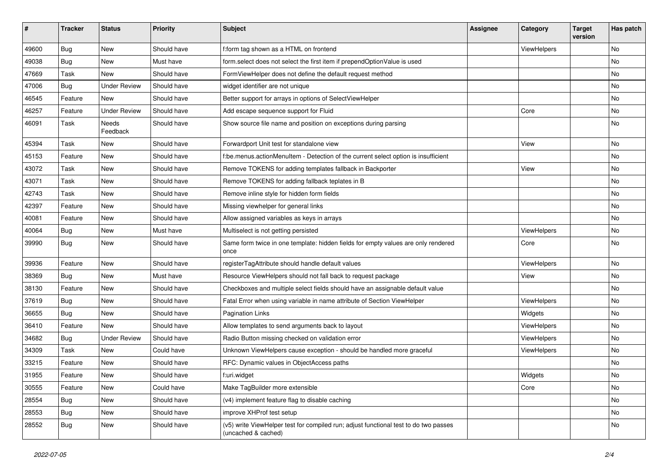| #     | <b>Tracker</b> | <b>Status</b>       | <b>Priority</b> | Subject                                                                                                     | Assignee | Category    | <b>Target</b><br>version | Has patch |
|-------|----------------|---------------------|-----------------|-------------------------------------------------------------------------------------------------------------|----------|-------------|--------------------------|-----------|
| 49600 | Bug            | New                 | Should have     | f:form tag shown as a HTML on frontend                                                                      |          | ViewHelpers |                          | No        |
| 49038 | Bug            | New                 | Must have       | form.select does not select the first item if prependOptionValue is used                                    |          |             |                          | No        |
| 47669 | Task           | New                 | Should have     | FormViewHelper does not define the default request method                                                   |          |             |                          | No        |
| 47006 | Bug            | <b>Under Review</b> | Should have     | widget identifier are not unique                                                                            |          |             |                          | No        |
| 46545 | Feature        | New                 | Should have     | Better support for arrays in options of SelectViewHelper                                                    |          |             |                          | No        |
| 46257 | Feature        | <b>Under Review</b> | Should have     | Add escape sequence support for Fluid                                                                       |          | Core        |                          | No        |
| 46091 | Task           | Needs<br>Feedback   | Should have     | Show source file name and position on exceptions during parsing                                             |          |             |                          | No        |
| 45394 | Task           | <b>New</b>          | Should have     | Forwardport Unit test for standalone view                                                                   |          | View        |                          | No        |
| 45153 | Feature        | New                 | Should have     | f:be.menus.actionMenuItem - Detection of the current select option is insufficient                          |          |             |                          | No        |
| 43072 | Task           | New                 | Should have     | Remove TOKENS for adding templates fallback in Backporter                                                   |          | View        |                          | No        |
| 43071 | Task           | New                 | Should have     | Remove TOKENS for adding fallback teplates in B                                                             |          |             |                          | No        |
| 42743 | Task           | New                 | Should have     | Remove inline style for hidden form fields                                                                  |          |             |                          | No        |
| 42397 | Feature        | New                 | Should have     | Missing viewhelper for general links                                                                        |          |             |                          | No        |
| 40081 | Feature        | New                 | Should have     | Allow assigned variables as keys in arrays                                                                  |          |             |                          | No        |
| 40064 | Bug            | New                 | Must have       | Multiselect is not getting persisted                                                                        |          | ViewHelpers |                          | No        |
| 39990 | Bug            | New                 | Should have     | Same form twice in one template: hidden fields for empty values are only rendered<br>once                   |          | Core        |                          | No        |
| 39936 | Feature        | <b>New</b>          | Should have     | registerTagAttribute should handle default values                                                           |          | ViewHelpers |                          | No        |
| 38369 | Bug            | New                 | Must have       | Resource ViewHelpers should not fall back to request package                                                |          | View        |                          | No        |
| 38130 | Feature        | New                 | Should have     | Checkboxes and multiple select fields should have an assignable default value                               |          |             |                          | No        |
| 37619 | Bug            | New                 | Should have     | Fatal Error when using variable in name attribute of Section ViewHelper                                     |          | ViewHelpers |                          | No        |
| 36655 | Bug            | New                 | Should have     | <b>Pagination Links</b>                                                                                     |          | Widgets     |                          | No        |
| 36410 | Feature        | New                 | Should have     | Allow templates to send arguments back to layout                                                            |          | ViewHelpers |                          | No        |
| 34682 | <b>Bug</b>     | <b>Under Review</b> | Should have     | Radio Button missing checked on validation error                                                            |          | ViewHelpers |                          | No        |
| 34309 | Task           | New                 | Could have      | Unknown ViewHelpers cause exception - should be handled more graceful                                       |          | ViewHelpers |                          | No        |
| 33215 | Feature        | <b>New</b>          | Should have     | RFC: Dynamic values in ObjectAccess paths                                                                   |          |             |                          | No        |
| 31955 | Feature        | New                 | Should have     | f:uri.widget                                                                                                |          | Widgets     |                          | No        |
| 30555 | Feature        | New                 | Could have      | Make TagBuilder more extensible                                                                             |          | Core        |                          | No        |
| 28554 | <b>Bug</b>     | New                 | Should have     | (v4) implement feature flag to disable caching                                                              |          |             |                          | No        |
| 28553 | Bug            | New                 | Should have     | improve XHProf test setup                                                                                   |          |             |                          | No        |
| 28552 | Bug            | New                 | Should have     | (v5) write ViewHelper test for compiled run; adjust functional test to do two passes<br>(uncached & cached) |          |             |                          | No        |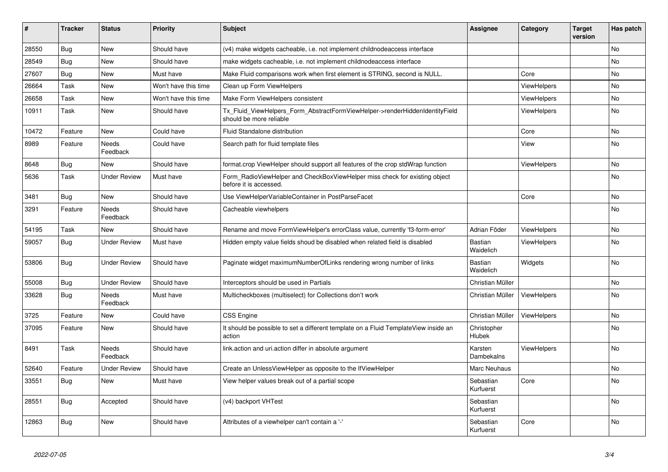| ∥ #   | <b>Tracker</b> | <b>Status</b>            | <b>Priority</b>      | <b>Subject</b>                                                                                         | <b>Assignee</b>             | Category           | <b>Target</b><br>version | Has patch |
|-------|----------------|--------------------------|----------------------|--------------------------------------------------------------------------------------------------------|-----------------------------|--------------------|--------------------------|-----------|
| 28550 | <b>Bug</b>     | <b>New</b>               | Should have          | (v4) make widgets cacheable, i.e. not implement childnodeaccess interface                              |                             |                    |                          | No.       |
| 28549 | <b>Bug</b>     | <b>New</b>               | Should have          | make widgets cacheable, i.e. not implement childnodeaccess interface                                   |                             |                    |                          | No        |
| 27607 | Bug            | New                      | Must have            | Make Fluid comparisons work when first element is STRING, second is NULL.                              |                             | Core               |                          | No.       |
| 26664 | Task           | New                      | Won't have this time | Clean up Form ViewHelpers                                                                              |                             | ViewHelpers        |                          | No        |
| 26658 | Task           | New                      | Won't have this time | Make Form ViewHelpers consistent                                                                       |                             | <b>ViewHelpers</b> |                          | No        |
| 10911 | Task           | New                      | Should have          | Tx Fluid ViewHelpers Form AbstractFormViewHelper->renderHiddenIdentityField<br>should be more reliable |                             | <b>ViewHelpers</b> |                          | No        |
| 10472 | Feature        | <b>New</b>               | Could have           | Fluid Standalone distribution                                                                          |                             | Core               |                          | No        |
| 8989  | Feature        | Needs<br>Feedback        | Could have           | Search path for fluid template files                                                                   |                             | View               |                          | No        |
| 8648  | Bug            | <b>New</b>               | Should have          | format.crop ViewHelper should support all features of the crop stdWrap function                        |                             | ViewHelpers        |                          | No        |
| 5636  | Task           | <b>Under Review</b>      | Must have            | Form RadioViewHelper and CheckBoxViewHelper miss check for existing object<br>before it is accessed.   |                             |                    |                          | <b>No</b> |
| 3481  | <b>Bug</b>     | New                      | Should have          | Use ViewHelperVariableContainer in PostParseFacet                                                      |                             | Core               |                          | No        |
| 3291  | Feature        | Needs<br>Feedback        | Should have          | Cacheable viewhelpers                                                                                  |                             |                    |                          | No        |
| 54195 | Task           | New                      | Should have          | Rename and move FormViewHelper's errorClass value, currently 'f3-form-error'                           | Adrian Föder                | ViewHelpers        |                          | No        |
| 59057 | Bug            | <b>Under Review</b>      | Must have            | Hidden empty value fields shoud be disabled when related field is disabled                             | <b>Bastian</b><br>Waidelich | <b>ViewHelpers</b> |                          | No        |
| 53806 | Bug            | <b>Under Review</b>      | Should have          | Paginate widget maximumNumberOfLinks rendering wrong number of links                                   | Bastian<br>Waidelich        | Widgets            |                          | No        |
| 55008 | Bug            | <b>Under Review</b>      | Should have          | Interceptors should be used in Partials                                                                | Christian Müller            |                    |                          | No        |
| 33628 | <b>Bug</b>     | <b>Needs</b><br>Feedback | Must have            | Multicheckboxes (multiselect) for Collections don't work                                               | Christian Müller            | ViewHelpers        |                          | <b>No</b> |
| 3725  | Feature        | New                      | Could have           | <b>CSS Engine</b>                                                                                      | Christian Müller            | <b>ViewHelpers</b> |                          | No        |
| 37095 | Feature        | New                      | Should have          | It should be possible to set a different template on a Fluid TemplateView inside an<br>action          | Christopher<br>Hlubek       |                    |                          | No        |
| 8491  | Task           | <b>Needs</b><br>Feedback | Should have          | link action and uri action differ in absolute argument                                                 | Karsten<br>Dambekalns       | ViewHelpers        |                          | No        |
| 52640 | Feature        | <b>Under Review</b>      | Should have          | Create an UnlessViewHelper as opposite to the IfViewHelper                                             | Marc Neuhaus                |                    |                          | No        |
| 33551 | <b>Bug</b>     | <b>New</b>               | Must have            | View helper values break out of a partial scope                                                        | Sebastian<br>Kurfuerst      | Core               |                          | No        |
| 28551 | Bug            | Accepted                 | Should have          | (v4) backport VHTest                                                                                   | Sebastian<br>Kurfuerst      |                    |                          | No        |
| 12863 | <b>Bug</b>     | New                      | Should have          | Attributes of a viewhelper can't contain a '-'                                                         | Sebastian<br>Kurfuerst      | Core               |                          | No        |